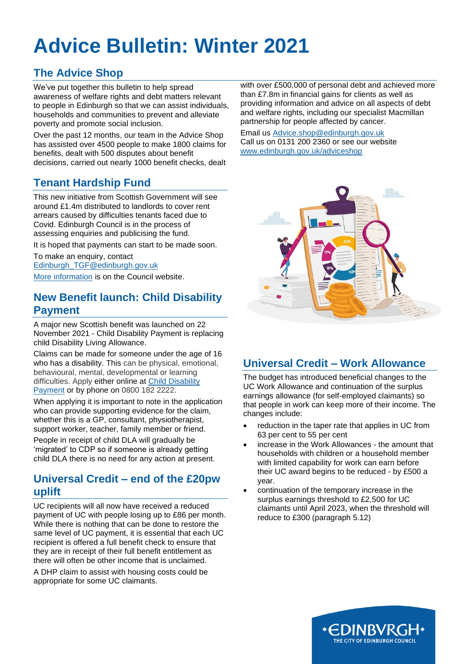# **Advice Bulletin: Winter 2021**

# **The Advice Shop**

We've put together this bulletin to help spread awareness of welfare rights and debt matters relevant to people in Edinburgh so that we can assist individuals, households and communities to prevent and alleviate poverty and promote social inclusion.

Over the past 12 months, our team in the Advice Shop has assisted over 4500 people to make 1800 claims for benefits, dealt with 500 disputes about benefit decisions, carried out nearly 1000 benefit checks, dealt

## **Tenant Hardship Fund**

This new initiative from Scottish Government will see around £1.4m distributed to landlords to cover rent arrears caused by difficulties tenants faced due to Covid. Edinburgh Council is in the process of assessing enquiries and publicising the fund.

It is hoped that payments can start to be made soon.

To make an enquiry, contact [Edinburgh\\_TGF@edinburgh.gov.uk](mailto:Edinburgh_TGF@edinburgh.gov.uk) [More information](https://www.edinburgh.gov.uk/homeless-risk/keep-home/2?documentId=13008&categoryId=20125) is on the Council website.

## **New Benefit launch: Child Disability Payment**

A major new Scottish benefit was launched on 22 November 2021 - Child Disability Payment is replacing child Disability Living Allowance.

Claims can be made for someone under the age of 16 who has a disability. This can be physical, emotional, behavioural, mental, developmental or learning difficulties. Apply either online at [Child Disability](https://www.mygov.scot/child-disability-payment)  [Payment](https://www.mygov.scot/child-disability-payment) or by phone on 0800 182 2222.

When applying it is important to note in the application who can provide supporting evidence for the claim, whether this is a GP, consultant, physiotherapist, support worker, teacher, family member or friend.

People in receipt of child DLA will gradually be 'migrated' to CDP so if someone is already getting child DLA there is no need for any action at present.

#### **Universal Credit – end of the £20pw uplift**

UC recipients will all now have received a reduced payment of UC with people losing up to £86 per month. While there is nothing that can be done to restore the same level of UC payment, it is essential that each UC recipient is offered a full benefit check to ensure that they are in receipt of their full benefit entitlement as there will often be other income that is unclaimed.

A DHP claim to assist with housing costs could be appropriate for some UC claimants.

with over £500,000 of personal debt and achieved more than £7.8m in financial gains for clients as well as providing information and advice on all aspects of debt and welfare rights, including our specialist Macmillan partnership for people affected by cancer.

Email us [Advice.shop@edinburgh.gov.uk](mailto:Advice.shop@edinburgh.gov.uk) Call us on 0131 200 2360 or see our website [www.edinburgh.gov.uk/adviceshop](http://www.edinburgh.gov.uk/adviceshop)



# **Universal Credit – Work Allowance**

The budget has introduced beneficial changes to the UC Work Allowance and continuation of the surplus earnings allowance (for self-employed claimants) so that people in work can keep more of their income. The changes include:

- reduction in the taper rate that applies in UC from 63 per cent to 55 per cent
- increase in the Work Allowances the amount that households with children or a household member with limited capability for work can earn before their UC award begins to be reduced - by £500 a year.
- continuation of the temporary increase in the surplus earnings threshold to £2,500 for UC claimants until April 2023, when the threshold will reduce to £300 (paragraph 5.12)

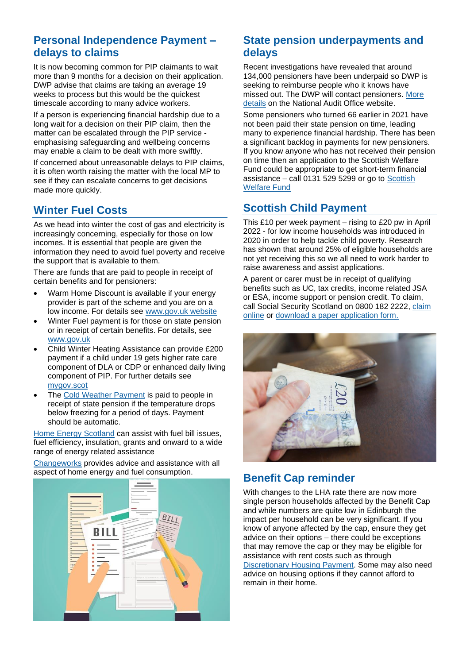## **Personal Independence Payment – delays to claims**

It is now becoming common for PIP claimants to wait more than 9 months for a decision on their application. DWP advise that claims are taking an average 19 weeks to process but this would be the quickest timescale according to many advice workers.

If a person is experiencing financial hardship due to a long wait for a decision on their PIP claim, then the matter can be escalated through the PIP service emphasising safeguarding and wellbeing concerns may enable a claim to be dealt with more swiftly.

If concerned about unreasonable delays to PIP claims, it is often worth raising the matter with the local MP to see if they can escalate concerns to get decisions made more quickly.

## **Winter Fuel Costs**

As we head into winter the cost of gas and electricity is increasingly concerning, especially for those on low incomes. It is essential that people are given the information they need to avoid fuel poverty and receive the support that is available to them.

There are funds that are paid to people in receipt of certain benefits and for pensioners:

- Warm Home Discount is available if your energy provider is part of the scheme and you are on a low income. For details see [www.gov.uk website](https://www.gov.uk/the-warm-home-discount-scheme)
- Winter Fuel payment is for those on state pension or in receipt of certain benefits. For details, see [www.gov.uk](http://www.gov.uk/)
- Child Winter Heating Assistance can provide £200 payment if a child under 19 gets higher rate care component of DLA or CDP or enhanced daily living component of PIP. For further details see [mygov.scot](https://www.mygov.scot/child-winter-heating-assistance/who-can-get-child-winter-heating-assistance)
- The [Cold Weather Payment](https://www.gov.uk/cold-weather-payment) is paid to people in receipt of state pension if the temperature drops below freezing for a period of days. Payment should be automatic.

[Home Energy Scotland](https://www.homeenergyscotland.org/) can assist with fuel bill issues, fuel efficiency, insulation, grants and onward to a wide range of energy related assistance

[Changeworks](https://www.changeworks.org.uk/) provides advice and assistance with all aspect of home energy and fuel consumption.



#### **State pension underpayments and delays**

Recent investigations have revealed that around 134,000 pensioners have been underpaid so DWP is seeking to reimburse people who it knows have missed out. The DWP will contact pensioners. More [details](https://www.nao.org.uk/press-release/investigation-into-underpayment-of-state-pension/) on the National Audit Office website.

Some pensioners who turned 66 earlier in 2021 have not been paid their state pension on time, leading many to experience financial hardship. There has been a significant backlog in payments for new pensioners. If you know anyone who has not received their pension on time then an application to the Scottish Welfare Fund could be appropriate to get short-term financial assistance – call  $0131$  529 5299 or go to Scottish [Welfare Fund](https://www.edinburgh.gov.uk/benefits-grants/scottish-welfare-fund/3?documentId=12271&categoryId=20127)

# **Scottish Child Payment**

This £10 per week payment – rising to £20 pw in April 2022 - for low income households was introduced in 2020 in order to help tackle child poverty. Research has shown that around 25% of eligible households are not yet receiving this so we all need to work harder to raise awareness and assist applications.

A parent or carer must be in receipt of qualifying benefits such as UC, tax credits, income related JSA or ESA, income support or pension credit. To claim, call Social Security Scotland on 0800 182 2222, claim [online](https://www.mygov.scot/scottish-child-payment/how-to-apply/) or [download a paper application form.](https://www.mygov.scot/scottish-child-payment-forms/)



## **Benefit Cap reminder**

With changes to the LHA rate there are now more single person households affected by the Benefit Cap and while numbers are quite low in Edinburgh the impact per household can be very significant. If you know of anyone affected by the cap, ensure they get advice on their options – there could be exceptions that may remove the cap or they may be eligible for assistance with rent costs such as through [Discretionary Housing Payment.](https://www.edinburgh.gov.uk/welfare-reform/discretionary-housing-payments-dhp/1) Some may also need advice on housing options if they cannot afford to remain in their home.